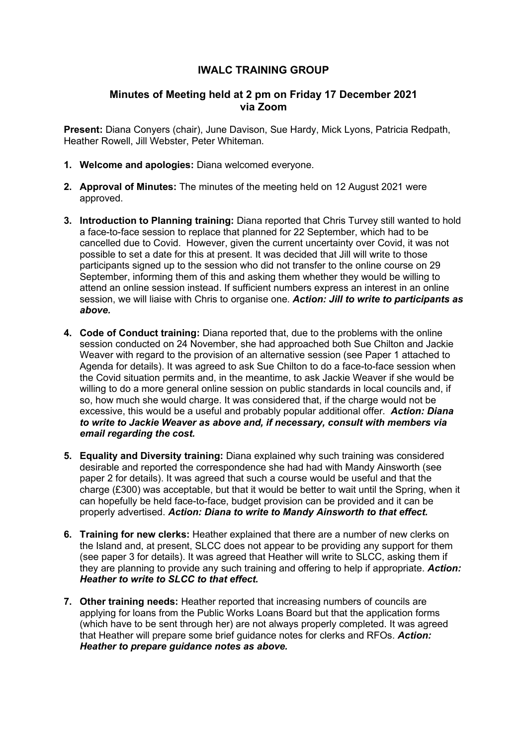# **IWALC TRAINING GROUP**

## **Minutes of Meeting held at 2 pm on Friday 17 December 2021 via Zoom**

**Present:** Diana Conyers (chair), June Davison, Sue Hardy, Mick Lyons, Patricia Redpath, Heather Rowell, Jill Webster, Peter Whiteman.

- **1. Welcome and apologies:** Diana welcomed everyone.
- **2. Approval of Minutes:** The minutes of the meeting held on 12 August 2021 were approved.
- **3. Introduction to Planning training:** Diana reported that Chris Turvey still wanted to hold a face-to-face session to replace that planned for 22 September, which had to be cancelled due to Covid. However, given the current uncertainty over Covid, it was not possible to set a date for this at present. It was decided that Jill will write to those participants signed up to the session who did not transfer to the online course on 29 September, informing them of this and asking them whether they would be willing to attend an online session instead. If sufficient numbers express an interest in an online session, we will liaise with Chris to organise one. *Action: Jill to write to participants as above.*
- **4. Code of Conduct training:** Diana reported that, due to the problems with the online session conducted on 24 November, she had approached both Sue Chilton and Jackie Weaver with regard to the provision of an alternative session (see Paper 1 attached to Agenda for details). It was agreed to ask Sue Chilton to do a face-to-face session when the Covid situation permits and, in the meantime, to ask Jackie Weaver if she would be willing to do a more general online session on public standards in local councils and, if so, how much she would charge. It was considered that, if the charge would not be excessive, this would be a useful and probably popular additional offer. *Action: Diana to write to Jackie Weaver as above and, if necessary, consult with members via email regarding the cost.*
- **5. Equality and Diversity training:** Diana explained why such training was considered desirable and reported the correspondence she had had with Mandy Ainsworth (see paper 2 for details). It was agreed that such a course would be useful and that the charge (£300) was acceptable, but that it would be better to wait until the Spring, when it can hopefully be held face-to-face, budget provision can be provided and it can be properly advertised. *Action: Diana to write to Mandy Ainsworth to that effect.*
- **6. Training for new clerks:** Heather explained that there are a number of new clerks on the Island and, at present, SLCC does not appear to be providing any support for them (see paper 3 for details). It was agreed that Heather will write to SLCC, asking them if they are planning to provide any such training and offering to help if appropriate. *Action: Heather to write to SLCC to that effect.*
- **7. Other training needs:** Heather reported that increasing numbers of councils are applying for loans from the Public Works Loans Board but that the application forms (which have to be sent through her) are not always properly completed. It was agreed that Heather will prepare some brief guidance notes for clerks and RFOs. *Action: Heather to prepare guidance notes as above.*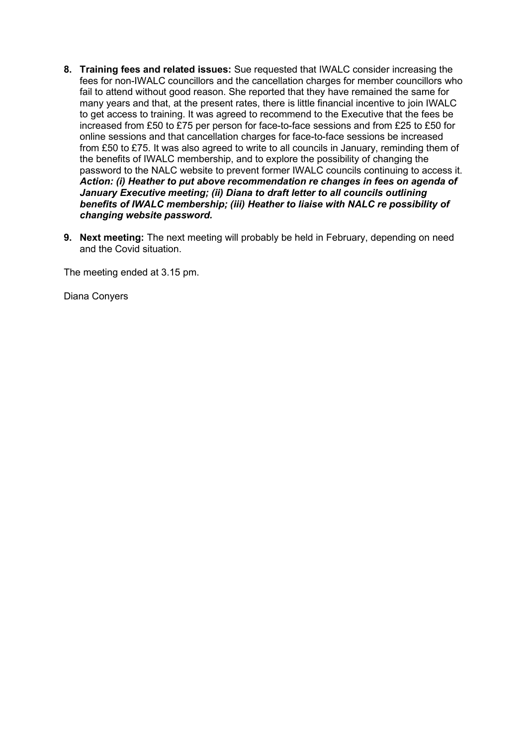- **8. Training fees and related issues:** Sue requested that IWALC consider increasing the fees for non-IWALC councillors and the cancellation charges for member councillors who fail to attend without good reason. She reported that they have remained the same for many years and that, at the present rates, there is little financial incentive to join IWALC to get access to training. It was agreed to recommend to the Executive that the fees be increased from £50 to £75 per person for face-to-face sessions and from £25 to £50 for online sessions and that cancellation charges for face-to-face sessions be increased from £50 to £75. It was also agreed to write to all councils in January, reminding them of the benefits of IWALC membership, and to explore the possibility of changing the password to the NALC website to prevent former IWALC councils continuing to access it. *Action: (i) Heather to put above recommendation re changes in fees on agenda of January Executive meeting; (ii) Diana to draft letter to all councils outlining benefits of IWALC membership; (iii) Heather to liaise with NALC re possibility of changing website password.*
- **9. Next meeting:** The next meeting will probably be held in February, depending on need and the Covid situation.

The meeting ended at 3.15 pm.

Diana Conyers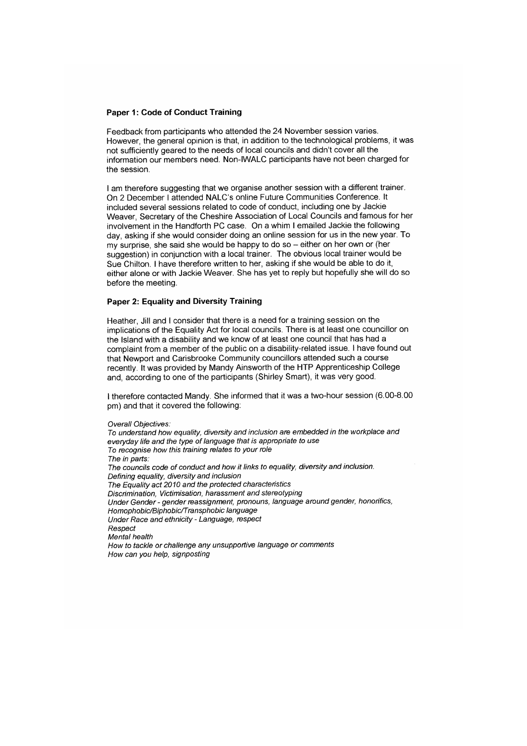### **Paper 1: Code of Conduct Training**

Feedback from participants who attended the 24 November session varies. However, the general opinion is that, in addition to the technological problems, it was not sufficiently geared to the needs of local councils and didn't cover all the information our members need. Non-IWALC participants have not been charged for the session.

I am therefore suggesting that we organise another session with a different trainer. On 2 December I attended NALC's online Future Communities Conference. It included several sessions related to code of conduct, including one by Jackie Weaver, Secretary of the Cheshire Association of Local Councils and famous for her involvement in the Handforth PC case. On a whim I emailed Jackie the following day, asking if she would consider doing an online session for us in the new year. To my surprise, she said she would be happy to do so - either on her own or (her suggestion) in conjunction with a local trainer. The obvious local trainer would be Sue Chilton, I have therefore written to her, asking if she would be able to do it, either alone or with Jackie Weaver. She has yet to reply but hopefully she will do so before the meeting.

#### Paper 2: Equality and Diversity Training

Heather, Jill and I consider that there is a need for a training session on the implications of the Equality Act for local councils. There is at least one councillor on the Island with a disability and we know of at least one council that has had a complaint from a member of the public on a disability-related issue. I have found out that Newport and Carisbrooke Community councillors attended such a course recently. It was provided by Mandy Ainsworth of the HTP Apprenticeship College and, according to one of the participants (Shirley Smart), it was very good.

I therefore contacted Mandy. She informed that it was a two-hour session (6.00-8.00) pm) and that it covered the following:

Overall Objectives:

To understand how equality, diversity and inclusion are embedded in the workplace and everyday life and the type of language that is appropriate to use To recognise how this training relates to your role The in parts: The councils code of conduct and how it links to equality, diversity and inclusion. Defining equality, diversity and inclusion The Equality act 2010 and the protected characteristics Discrimination, Victimisation, harassment and stereotyping Under Gender - gender reassignment, pronouns, language around gender, honorifics, Homophobic/Biphobic/Transphobic language Under Race and ethnicity - Language, respect Respect Mental health How to tackle or challenge any unsupportive language or comments How can you help, signposting